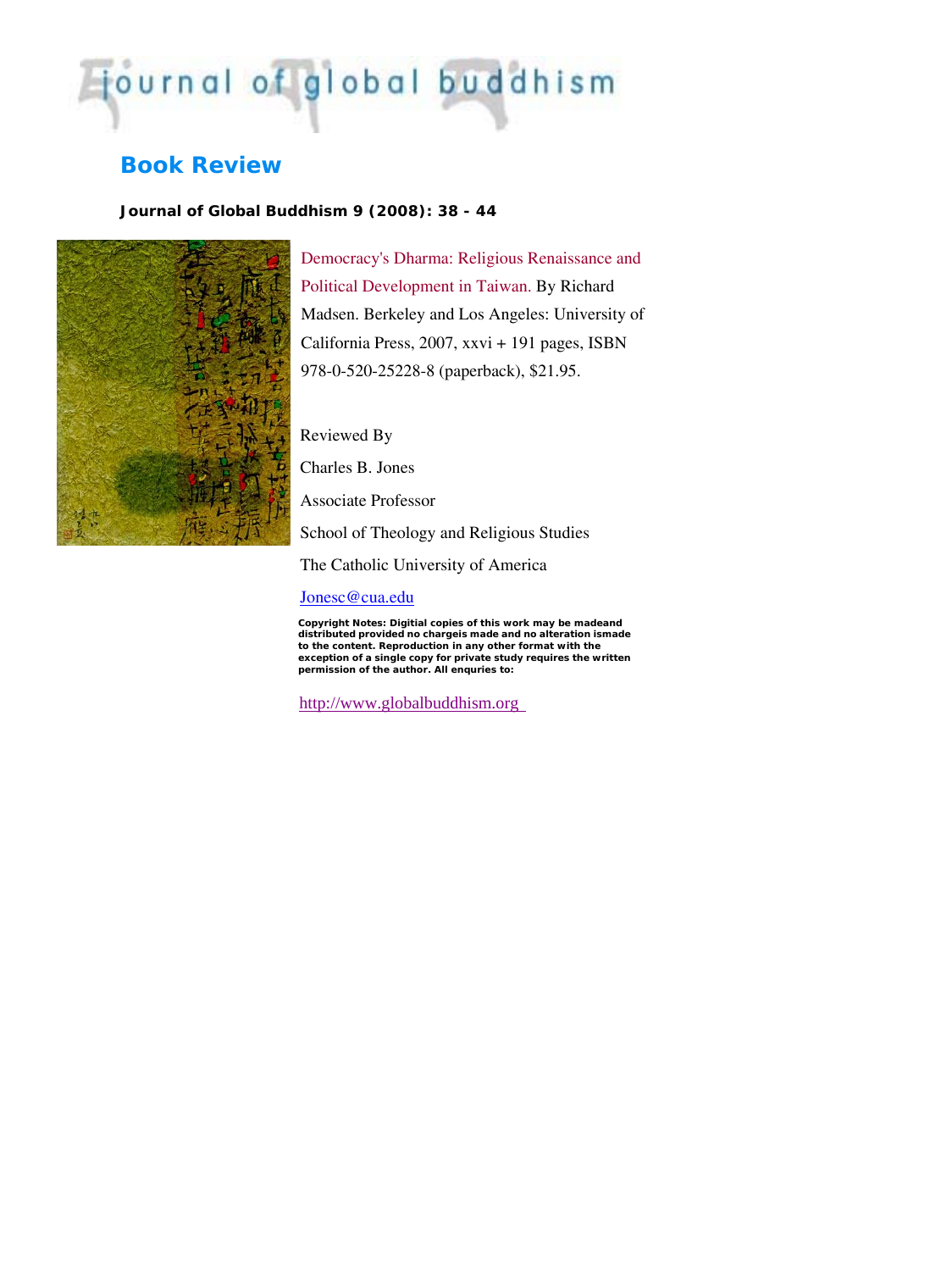# journal of global buddhism

# **Book Review**

## *Journal of Global Buddhism 9 (2008): 38 - 44*



Democracy's Dharma: Religious Renaissance and Political Development in Taiwan. By Richard Madsen. Berkeley and Los Angeles: University of California Press, 2007, xxvi + 191 pages, ISBN 978-0-520-25228-8 (paperback), \$21.95.

Reviewed By

Charles B. Jones

Associate Professor

School of Theology and Religious Studies

The Catholic University of America

### [Jonesc@cua.edu](mailto:Jonesc@cua.edu)

distributed provided no chargeis made and no alteration ismade **en to the content. Reproduction in any other format with the exception of a single copy for private study requires the writt permission of the author. All enquries to:**  *Copyright Notes:* **Digitial copies of this work may be madeand** 

http://www.globalbuddhism.org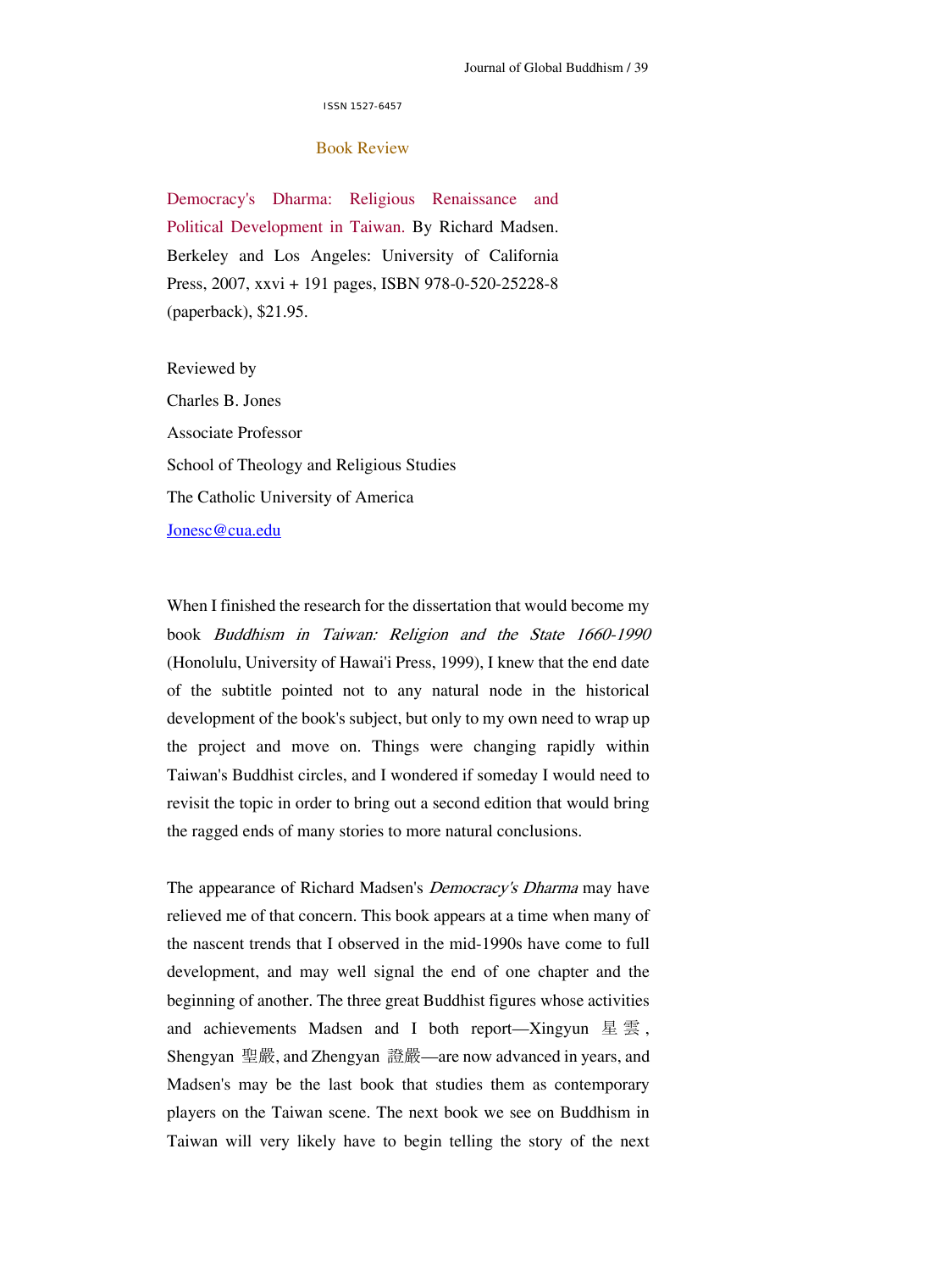ISSN 1527-6457

#### Book Review

Democracy's Dharma: Religious Renaissance and Political Development in Taiwan. By Richard Madsen. Berkeley and Los Angeles: University of California Press, 2007, xxvi + 191 pages, ISBN 978-0-520-25228-8 (paperback), \$21.95.

Reviewed by Charles B. Jones Associate Professor School of Theology and Religious Studies The Catholic University of America [Jonesc@cua.edu](mailto:Jonesc@cua.edu)

When I finished the research for the dissertation that would become my book Buddhism in Taiwan: Religion and the State 1660-1990 (Honolulu, University of Hawai'i Press, 1999), I knew that the end date of the subtitle pointed not to any natural node in the historical development of the book's subject, but only to my own need to wrap up the project and move on. Things were changing rapidly within Taiwan's Buddhist circles, and I wondered if someday I would need to revisit the topic in order to bring out a second edition that would bring the ragged ends of many stories to more natural conclusions.

The appearance of Richard Madsen's *Democracy's Dharma* may have relieved me of that concern. This book appears at a time when many of the nascent trends that I observed in the mid-1990s have come to full development, and may well signal the end of one chapter and the beginning of another. The three great Buddhist figures whose activities and achievements Madsen and I both report—Xingyun  $\mathbb{E} \nsubseteq \mathbb{S}$ , Shengyan 聖嚴, and Zhengyan 證嚴—are now advanced in years, and Madsen's may be the last book that studies them as contemporary players on the Taiwan scene. The next book we see on Buddhism in Taiwan will very likely have to begin telling the story of the next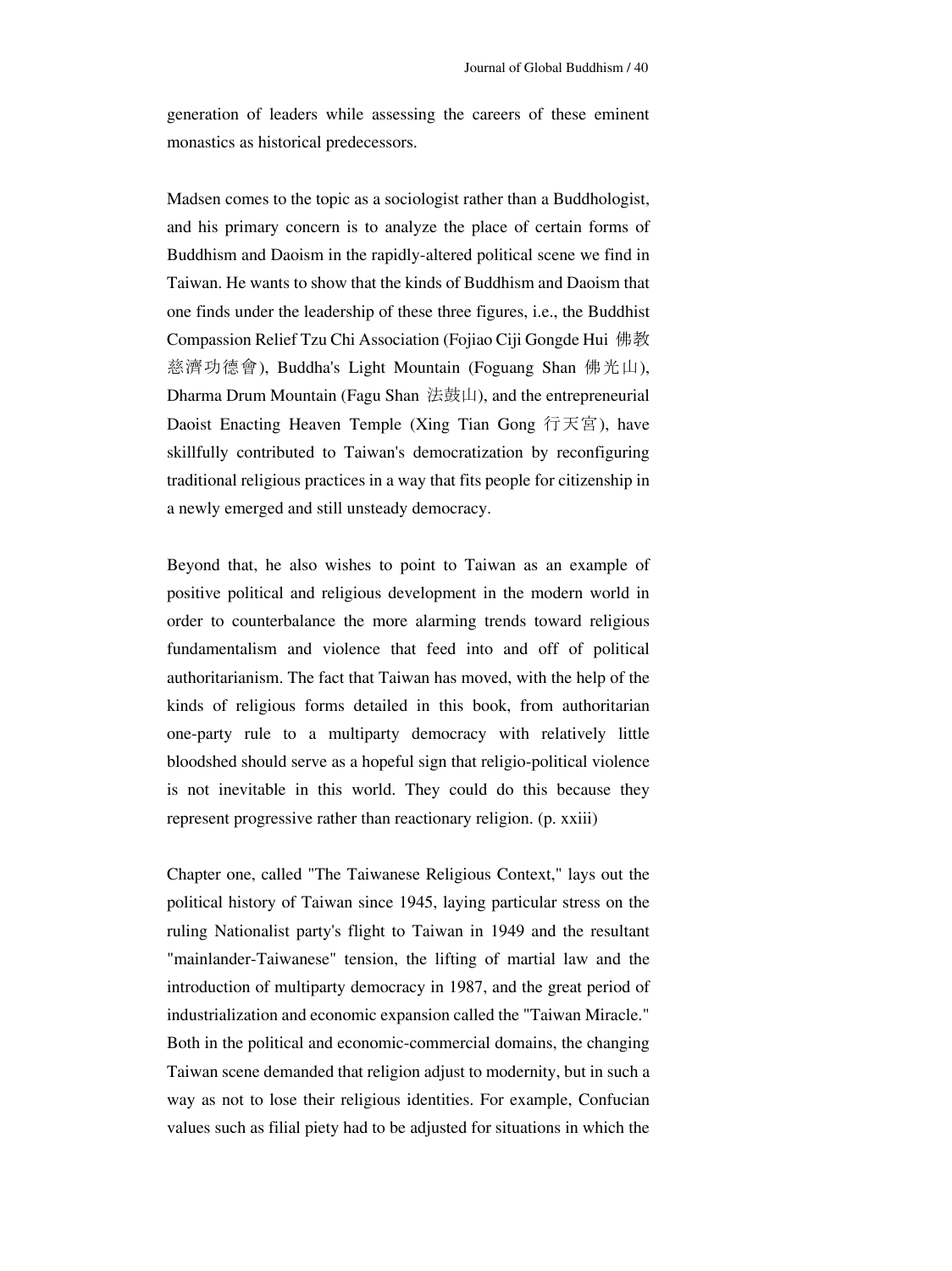generation of leaders while assessing the careers of these eminent monastics as historical predecessors.

Madsen comes to the topic as a sociologist rather than a Buddhologist, and his primary concern is to analyze the place of certain forms of Buddhism and Daoism in the rapidly-altered political scene we find in Taiwan. He wants to show that the kinds of Buddhism and Daoism that one finds under the leadership of these three figures, i.e., the Buddhist Compassion Relief Tzu Chi Association (Fojiao Ciji Gongde Hui 佛教 慈濟功德會), Buddha's Light Mountain (Foguang Shan 佛光山), Dharma Drum Mountain (Fagu Shan 法鼓山), and the entrepreneurial Daoist Enacting Heaven Temple (Xing Tian Gong 行天宮), have skillfully contributed to Taiwan's democratization by reconfiguring traditional religious practices in a way that fits people for citizenship in a newly emerged and still unsteady democracy.

Beyond that, he also wishes to point to Taiwan as an example of positive political and religious development in the modern world in order to counterbalance the more alarming trends toward religious fundamentalism and violence that feed into and off of political authoritarianism. The fact that Taiwan has moved, with the help of the kinds of religious forms detailed in this book, from authoritarian one-party rule to a multiparty democracy with relatively little bloodshed should serve as a hopeful sign that religio-political violence is not inevitable in this world. They could do this because they represent progressive rather than reactionary religion. (p. xxiii)

Chapter one, called "The Taiwanese Religious Context," lays out the political history of Taiwan since 1945, laying particular stress on the ruling Nationalist party's flight to Taiwan in 1949 and the resultant "mainlander-Taiwanese" tension, the lifting of martial law and the introduction of multiparty democracy in 1987, and the great period of industrialization and economic expansion called the "Taiwan Miracle." Both in the political and economic-commercial domains, the changing Taiwan scene demanded that religion adjust to modernity, but in such a way as not to lose their religious identities. For example, Confucian values such as filial piety had to be adjusted for situations in which the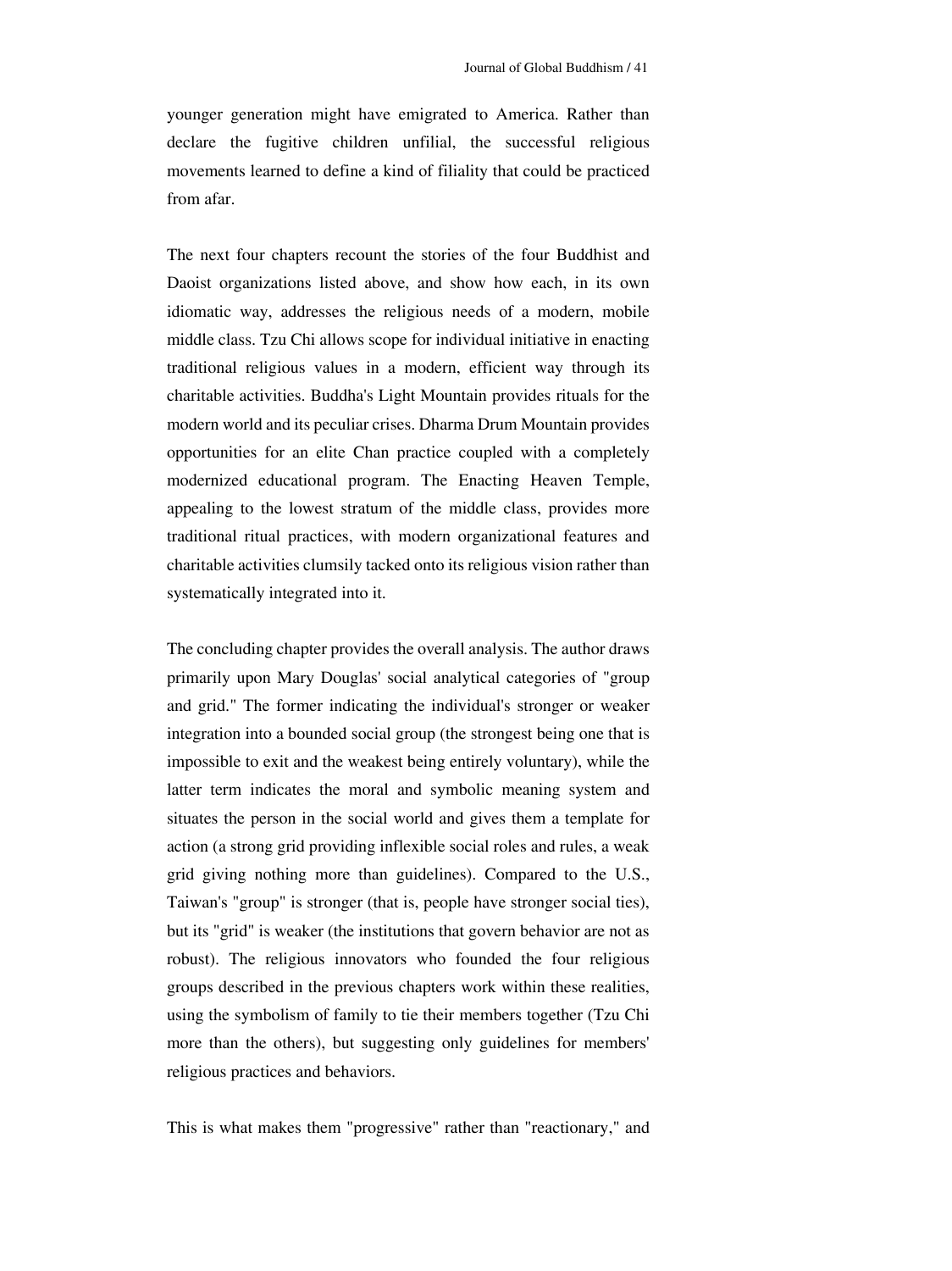younger generation might have emigrated to America. Rather than declare the fugitive children unfilial, the successful religious movements learned to define a kind of filiality that could be practiced from afar.

The next four chapters recount the stories of the four Buddhist and Daoist organizations listed above, and show how each, in its own idiomatic way, addresses the religious needs of a modern, mobile middle class. Tzu Chi allows scope for individual initiative in enacting traditional religious values in a modern, efficient way through its charitable activities. Buddha's Light Mountain provides rituals for the modern world and its peculiar crises. Dharma Drum Mountain provides opportunities for an elite Chan practice coupled with a completely modernized educational program. The Enacting Heaven Temple, appealing to the lowest stratum of the middle class, provides more traditional ritual practices, with modern organizational features and charitable activities clumsily tacked onto its religious vision rather than systematically integrated into it.

The concluding chapter provides the overall analysis. The author draws primarily upon Mary Douglas' social analytical categories of "group and grid." The former indicating the individual's stronger or weaker integration into a bounded social group (the strongest being one that is impossible to exit and the weakest being entirely voluntary), while the latter term indicates the moral and symbolic meaning system and situates the person in the social world and gives them a template for action (a strong grid providing inflexible social roles and rules, a weak grid giving nothing more than guidelines). Compared to the U.S., Taiwan's "group" is stronger (that is, people have stronger social ties), but its "grid" is weaker (the institutions that govern behavior are not as robust). The religious innovators who founded the four religious groups described in the previous chapters work within these realities, using the symbolism of family to tie their members together (Tzu Chi more than the others), but suggesting only guidelines for members' religious practices and behaviors.

This is what makes them "progressive" rather than "reactionary," and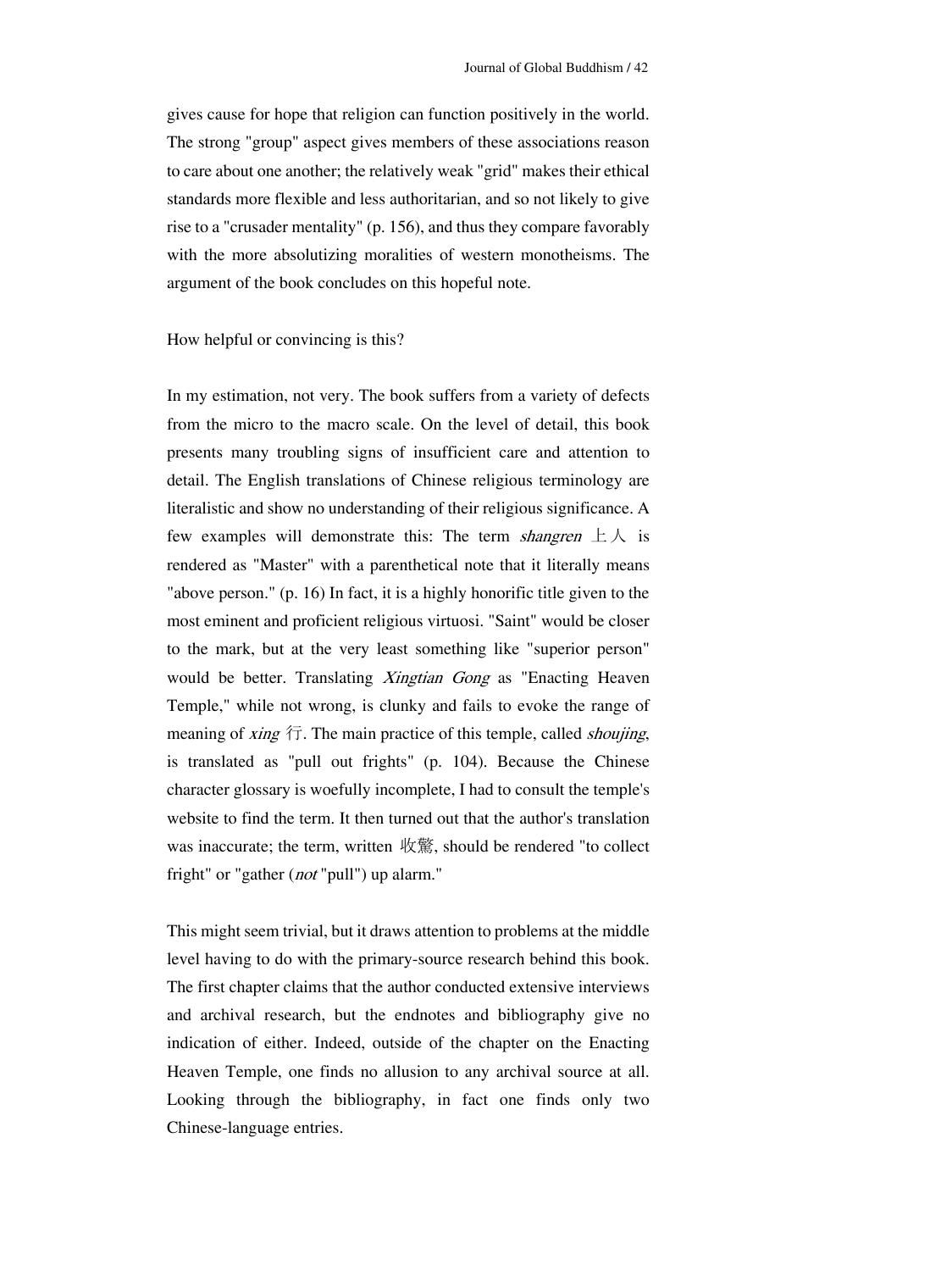gives cause for hope that religion can function positively in the world. The strong "group" aspect gives members of these associations reason to care about one another; the relatively weak "grid" makes their ethical standards more flexible and less authoritarian, and so not likely to give rise to a "crusader mentality" (p. 156), and thus they compare favorably with the more absolutizing moralities of western monotheisms. The argument of the book concludes on this hopeful note.

How helpful or convincing is this?

In my estimation, not very. The book suffers from a variety of defects c haracter glossary is woefully incomplete, I had to consult the temple's from the micro to the macro scale. On the level of detail, this book presents many troubling signs of insufficient care and attention to detail. The English translations of Chinese religious terminology are literalistic and show no understanding of their religious significance. A few examples will demonstrate this: The term *shangren*  $\pm \lambda$  is rendered as "Master" with a parenthetical note that it literally means "above person." (p. 16) In fact, it is a highly honorific title given to the most eminent and proficient religious virtuosi. "Saint" would be closer to the mark, but at the very least something like "superior person" would be better. Translating *Xingtian Gong* as "Enacting Heaven Temple," while not wrong, is clunky and fails to evoke the range of meaning of *xing*  $\overline{T}$ . The main practice of this temple, called *shoujing*, is translated as "pull out frights" (p. 104). Because the Chinese website to find the term. It then turned out that the author's translation was inaccurate; the term, written 收驚, should be rendered "to collect fright" or "gather (*not* "pull") up alarm."

This might seem trivial, but it draws attention to problems at the middle level having to do with the primary-source research behind this book. The first chapter claims that the author conducted extensive interviews and archival research, but the endnotes and bibliography give no indication of either. Indeed, outside of the chapter on the Enacting Heaven Temple, one finds no allusion to any archival source at all. Looking through the bibliography, in fact one finds only two Chinese-language entries.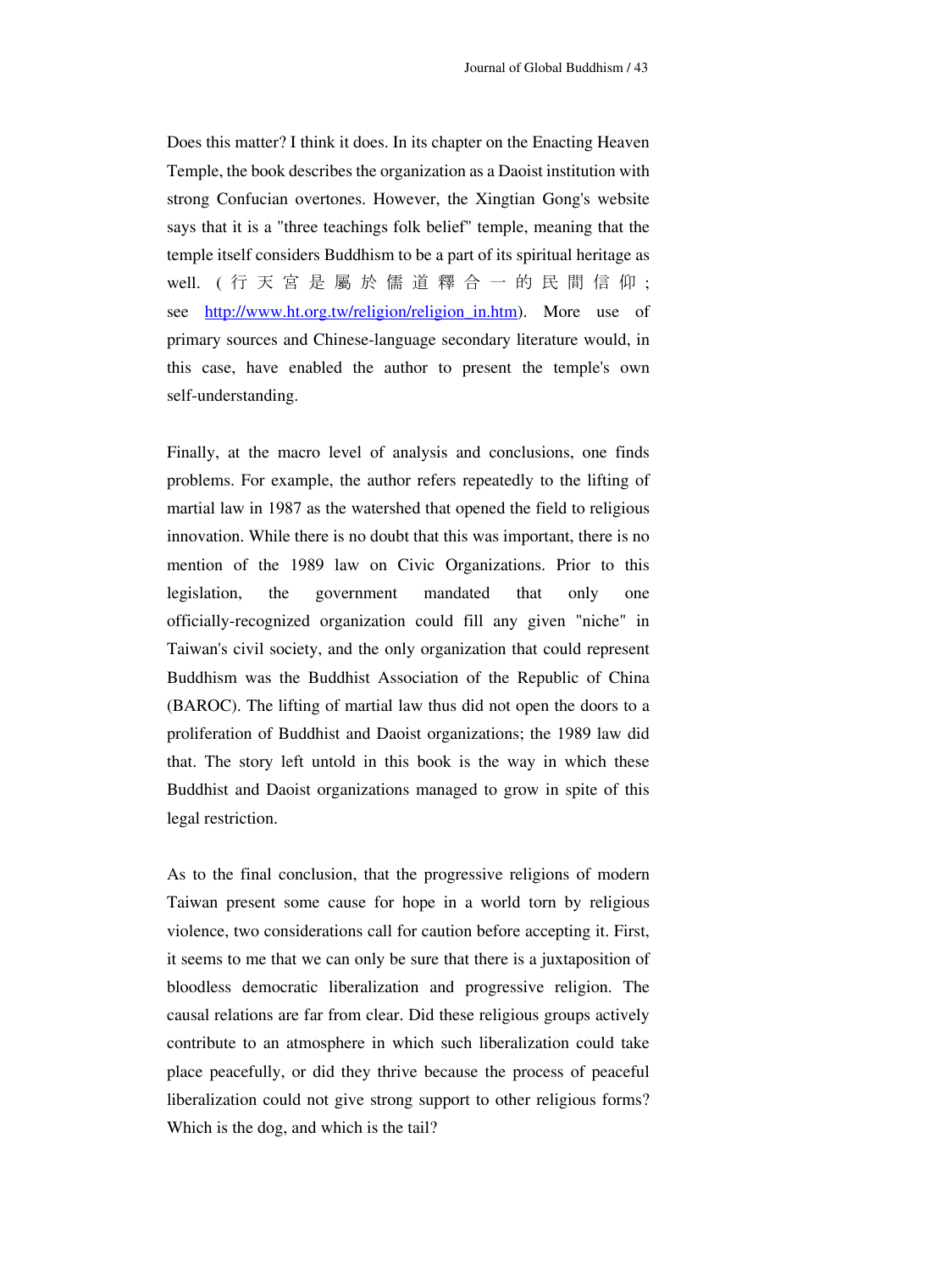Does this matter? I think it does. In its chapter on the Enacting Heaven Temple, the book describes the organization as a Daoist institution with strong Confucian overtones. However, the Xingtian Gong's website says that it is a "three teachings folk belief" temple, meaning that the temple itself considers Buddhism to be a part of its spiritual heritage as well. ( 行天宮是屬於儒道釋合一的民間信仰 ; see http://www.ht.org.tw/religion/religion in.htm). More use of primary sources and Chinese-language secondary literature would, in this case, have enabled the author to present the temple's own self-understanding.

Finally, at the macro level of analysis and conclusions, one finds problems. For example, the author refers repeatedly to the lifting of martial law in 1987 as the watershed that opened the field to religious innovation. While there is no doubt that this was important, there is no mention of the 1989 law on Civic Organizations. Prior to this legislation, the government mandated that only one officially-recognized organization could fill any given "niche" in Taiwan's civil society, and the only organization that could represent Buddhism was the Buddhist Association of the Republic of China (BAROC). The lifting of martial law thus did not open the doors to a proliferation of Buddhist and Daoist organizations; the 1989 law did that. The story left untold in this book is the way in which these Buddhist and Daoist organizations managed to grow in spite of this legal restriction.

As to the final conclusion, that the progressive religions of modern Taiwan present some cause for hope in a world torn by religious violence, two considerations call for caution before accepting it. First, it seems to me that we can only be sure that there is a juxtaposition of bloodless democratic liberalization and progressive religion. The causal relations are far from clear. Did these religious groups actively contribute to an atmosphere in which such liberalization could take place peacefully, or did they thrive because the process of peaceful liberalization could not give strong support to other religious forms? Which is the dog, and which is the tail?